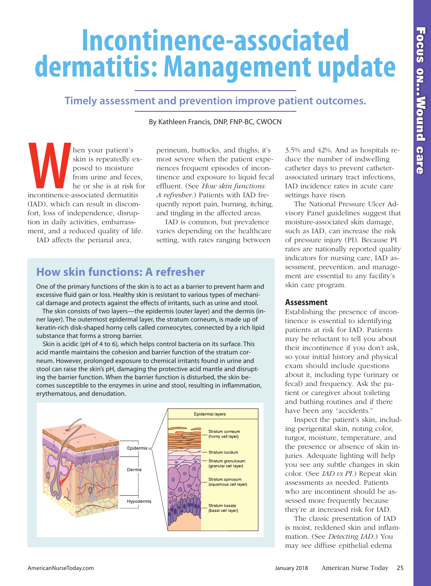# **Incontinence-associated dermatitis: Management update**

# **Timely assessment and prevention improve patient outcomes.**

By Kathleen Francis, DNP, FNP-BC, CWOCN

**Example 18** and your patient's<br>
skin is repeatedly ex-<br>
posed to moisture<br>
from urine and feces,<br>
the or she is at risk for<br> **Example 1999** and 42%. And as hospitals re-<br>
posed to moisture<br>
from urine and feces,<br>
the or s hen your patient's skin is repeatedly exposed to moisture from urine and feces, he or she is at risk for incontinence-associated dermatitis (IAD), which can result in discomfort, loss of independence, disruption in daily activities, embarrassment, and a reduced quality of life.

IAD affects the perianal area,

perineum, buttocks, and thighs; it's most severe when the patient experiences frequent episodes of incontinence and exposure to liquid fecal effluent. (See *How skin functions: A refresher*.) Patients with IAD frequently report pain, burning, itching, and tingling in the affected areas.

IAD is common, but prevalence varies depending on the healthcare setting, with rates ranging between

# **How skin functions: A refresher**

One of the primary functions of the skin is to act as a barrier to prevent harm and excessive fluid gain or loss. Healthy skin is resistant to various types of mechanical damage and protects against the effects of irritants, such as urine and stool.

The skin consists of two layers—the epidermis (outer layer) and the dermis (inner layer). The outermost epidermal layer, the stratum corneum, is made up of keratin-rich disk-shaped horny cells called corneocytes, connected by a rich lipid substance that forms a strong barrier.

Skin is acidic (pH of 4 to 6), which helps control bacteria on its surface. This acid mantle maintains the cohesion and barrier function of the stratum corneum. However, prolonged exposure to chemical irritants found in urine and stool can raise the skin's pH, damaging the protective acid mantle and disrupting the barrier function. When the barrier function is disturbed, the skin becomes susceptible to the enzymes in urine and stool, resulting in inflammation, erythematous, and denudation.



3.5% and 42%. And as hospitals reduce the number of indwelling catheter days to prevent catheterassociated urinary tract infections, IAD incidence rates in acute care settings have risen.

The National Pressure Ulcer Advisory Panel guidelines suggest that moisture-associated skin damage, such as IAD, can increase the risk of pressure injury (PI). Because PI rates are nationally reported quality indicators for nursing care, IAD assessment, prevention, and management are essential to any facility's skin care program.

## **Assessment**

Establishing the presence of incontinence is essential to identifying patients at risk for IAD. Patients may be reluctant to tell you about their incontinence if you don't ask, so your initial history and physical exam should include questions about it, including type (urinary or fecal) and frequency. Ask the patient or caregiver about toileting and bathing routines and if there have been any "accidents."

Inspect the patient's skin, including perigenital skin, noting color, turgor, moisture, temperature, and the presence or absence of skin injuries. Adequate lighting will help you see any subtle changes in skin color. (See *IAD vs PI*.) Repeat skin assessments as needed. Patients who are incontinent should be assessed more frequently because they're at increased risk for IAD.

The classic presentation of IAD is moist, reddened skin and inflammation. (See *Detecting IAD*.) You may see diffuse epithelial edema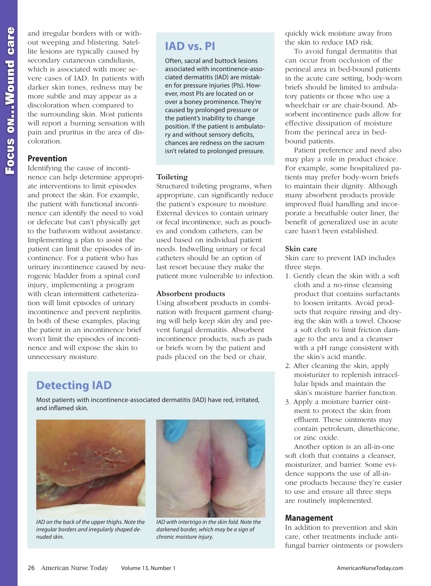**F**

and irregular borders with or without weeping and blistering. Satellite lesions are typically caused by secondary cutaneous candidiasis, which is associated with more severe cases of IAD. In patients with darker skin tones, redness may be more subtle and may appear as a discoloration when compared to the surrounding skin. Most patients will report a burning sensation with pain and pruritus in the area of discoloration.

# **Prevention**

Identifying the cause of incontinence can help determine appropriate interventions to limit episodes and protect the skin. For example, the patient with functional incontinence can identify the need to void or defecate but can't physically get to the bathroom without assistance. Implementing a plan to assist the patient can limit the episodes of incontinence. For a patient who has urinary incontinence caused by neurogenic bladder from a spinal cord injury, implementing a program with clean intermittent catheterization will limit episodes of urinary incontinence and prevent nephritis. In both of these examples, placing the patient in an incontinence brief won't limit the episodes of incontinence and will expose the skin to unnecessary moisture.

# **IAD vs. PI**

Often, sacral and buttock lesions associated with incontinence-associated dermatitis (IAD) are mistaken for pressure injuries (PIs). However, most PIs are located on or over a boney prominence. They're caused by prolonged pressure or the patient's inability to change position. If the patient is ambulatory and without sensory deficits, chances are redness on the sacrum isn't related to prolonged pressure.

# **Toileting**

Structured toileting programs, when appropriate, can significantly reduce the patient's exposure to moisture. External devices to contain urinary or fecal incontinence, such as pouches and condom catheters, can be used based on individual patient needs. Indwelling urinary or fecal catheters should be an option of last resort because they make the patient more vulnerable to infection.

## **Absorbent products**

Using absorbent products in combination with frequent garment changing will help keep skin dry and prevent fungal dermatitis. Absorbent incontinence products, such as pads or briefs worn by the patient and pads placed on the bed or chair,

# **Detecting IAD**

Most patients with incontinence-associated dermatitis (IAD) have red, irritated, and inflamed skin.



*IAD on the back of the upper thighs. Note the irregular borders and irregularly shaped denuded skin.*



*IAD with intertrigo in the skin fold. Note the darkened border, which may be a sign of chronic moisture injury.*

quickly wick moisture away from the skin to reduce IAD risk.

To avoid fungal dermatitis that can occur from occlusion of the perineal area in bed-bound patients in the acute care setting, body-worn briefs should be limited to ambulatory patients or those who use a wheelchair or are chair-bound. Absorbent incontinence pads allow for effective dissipation of moisture from the perineal area in bedbound patients.

Patient preference and need also may play a role in product choice. For example, some hospitalized patients may prefer body-worn briefs to maintain their dignity. Although many absorbent products provide improved fluid handling and incorporate a breathable outer liner, the benefit of generalized use in acute care hasn't been established.

# **Skin care**

Skin care to prevent IAD includes three steps.

- 1. Gently clean the skin with a soft cloth and a no-rinse cleansing product that contains surfactants to loosen irritants. Avoid products that require rinsing and drying the skin with a towel. Choose a soft cloth to limit friction damage to the area and a cleanser with a pH range consistent with the skin's acid mantle.
- 2. After cleaning the skin, apply moisturizer to replenish intracellular lipids and maintain the skin's moisture barrier function.
- 3. Apply a moisture barrier ointment to protect the skin from effluent. These ointments may contain petroleum, dimethicone, or zinc oxide.

Another option is an all-in-one soft cloth that contains a cleanser, moisturizer, and barrier. Some evidence supports the use of all-inone products because they're easier to use and ensure all three steps are routinely implemented.

# **Management**

In addition to prevention and skin care, other treatments include antifungal barrier ointments or powders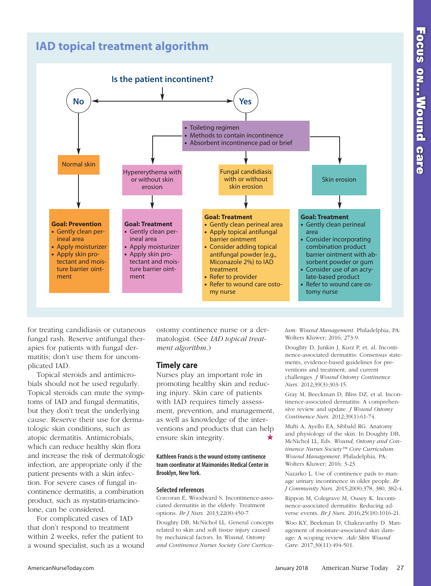# **IAD topical treatment algorithm**



for treating candidiasis or cutaneous fungal rash. Reserve antifungal therapies for patients with fungal dermatitis; don't use them for uncomplicated IAD.

Topical steroids and antimicrobials should not be used regularly. Topical steroids can mute the symptoms of IAD and fungal dermatitis, but they don't treat the underlying cause. Reserve their use for dermatologic skin conditions, such as atopic dermatitis. Antimicrobials, which can reduce healthy skin flora and increase the risk of dermatologic infection, are appropriate only if the patient presents with a skin infection. For severe cases of fungal incontinence dermatitis, a combination product, such as nystatin-triamcinolone, can be considered.

For complicated cases of IAD that don't respond to treatment within 2 weeks, refer the patient to a wound specialist, such as a wound

ostomy continence nurse or a dermatologist. (See *IAD topical treatment algorithm*.)

## **Timely care**

Nurses play an important role in promoting healthy skin and reducing injury. Skin care of patients with IAD requires timely assessment, prevention, and management, as well as knowledge of the interventions and products that can help ensure skin integrity.

#### **Kathleen Francis is the wound ostomycontinence team coordinatorat Maimonides MedicalCenter in Brooklyn, New York.**

#### **Selected references**

Corcoran E, Woodward S. Incontinence-associated dermatitis in the elderly: Treatment options. *Br J Nurs*. 2013;22(8):450-7.

Doughty DB, McNichol LL. General concepts related to skin and soft tissue injury caused by mechanical factors. In *Wound, Ostomy and Continence Nurses Society Core Curricu-* *lum: Wound Management*. Philadelphia, PA: Wolters Kluwer; 2016; 273-9.

Doughty D, Junkin J, Kurz P, et. al. Incontinence-associated dermatitis: Consensus statements, evidence-based guidelines for preventions and treatment, and current challenges. *J Wound Ostomy Continence Nurs*. 2012;39(3):303-15.

Gray M, Beeckman D, Bliss DZ, et al. Incontinence-associated dermatitis: A comprehensive review and update. *J Wound Ostomy Continence Nurs*. 2012;39(1):61-74.

Mufti A, Ayello EA, Sibbald RG. Anatomy and physiology of the skin. In Doughty DB, McNichol LL, Eds. *Wound, Ostomy and Continence Nurses Society™ Core Curriculum: Wound Management*. Philadelphia, PA: Wolters Kluwer; 2016; 3-23.

Nazarko L. Use of continence pads to manage urinary incontinence in older people. *Br J Community Nurs*. 2015;20(8):378, 380, 382-4.

Rippon M, Colegrave M, Ousey K. Incontinence-associated dermatitis: Reducing adverse events. *Br J Nurs*. 2016;25(18):1016-21.

Woo KY, Beekman D, Chakravarthy D. Management of moisture-associated skin damage: A scoping review. *Adv Skin Wound Care*. 2017;30(11):494-501.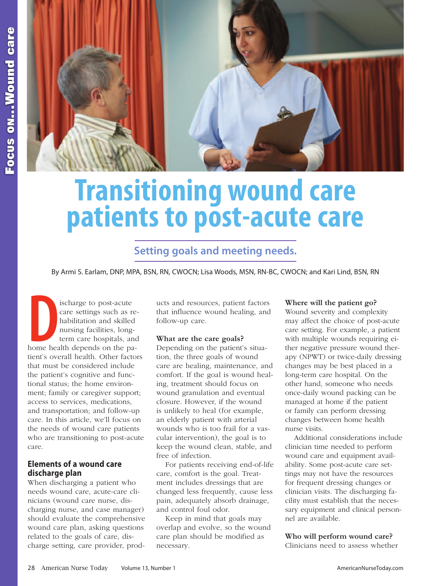

# **Transitioning wound care patients to post-acute care**

# **Setting goals and meeting needs.**

By Armi S. Earlam, DNP, MPA, BSN, RN, CWOCN; Lisa Woods, MSN, RN-BC, CWOCN; and Kari Lind, BSN, RN

**D**<br>home hea ischarge to post-acute care settings such as rehabilitation and skilled nursing facilities, longterm care hospitals, and home health depends on the patient's overall health. Other factors that must be considered include the patient's cognitive and functional status; the home environment; family or caregiver support; access to services, medications, and transportation; and follow-up care. In this article, we'll focus on the needs of wound care patients who are transitioning to post-acute care.

# **Elements of a wound care discharge plan**

When discharging a patient who needs wound care, acute-care clinicians (wound care nurse, discharging nurse, and case manager) should evaluate the comprehensive wound care plan, asking questions related to the goals of care, discharge setting, care provider, products and resources, patient factors that influence wound healing, and follow-up care.

## **What are the care goals?**

Depending on the patient's situation, the three goals of wound care are healing, maintenance, and comfort. If the goal is wound healing, treatment should focus on wound granulation and eventual closure. However, if the wound is unlikely to heal (for example, an elderly patient with arterial wounds who is too frail for a vascular intervention), the goal is to keep the wound clean, stable, and free of infection.

For patients receiving end-of-life care, comfort is the goal. Treatment includes dressings that are changed less frequently, cause less pain, adequately absorb drainage, and control foul odor.

Keep in mind that goals may overlap and evolve, so the wound care plan should be modified as necessary.

## **Where will the patient go?**

Wound severity and complexity may affect the choice of post-acute care setting. For example, a patient with multiple wounds requiring either negative pressure wound therapy (NPWT) or twice-daily dressing changes may be best placed in a long-term care hospital. On the other hand, someone who needs once-daily wound packing can be managed at home if the patient or family can perform dressing changes between home health nurse visits.

Additional considerations include clinician time needed to perform wound care and equipment availability. Some post-acute care settings may not have the resources for frequent dressing changes or clinician visits. The discharging facility must establish that the necessary equipment and clinical personnel are available.

# **Who will perform wound care?**

Clinicians need to assess whether